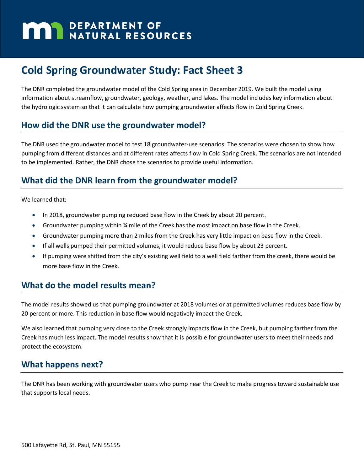# **MARIA DEPARTMENT OF NATURAL RESOURCES**

## **Cold Spring Groundwater Study: Fact Sheet 3**

The DNR completed the groundwater model of the Cold Spring area in December 2019. We built the model using information about streamflow, groundwater, geology, weather, and lakes. The model includes key information about the hydrologic system so that it can calculate how pumping groundwater affects flow in Cold Spring Creek.

### **How did the DNR use the groundwater model?**

The DNR used the groundwater model to test 18 groundwater-use scenarios. The scenarios were chosen to show how pumping from different distances and at different rates affects flow in Cold Spring Creek. The scenarios are not intended to be implemented. Rather, the DNR chose the scenarios to provide useful information.

### **What did the DNR learn from the groundwater model?**

We learned that:

- In 2018, groundwater pumping reduced base flow in the Creek by about 20 percent.
- Groundwater pumping within % mile of the Creek has the most impact on base flow in the Creek.
- Groundwater pumping more than 2 miles from the Creek has very little impact on base flow in the Creek.
- If all wells pumped their permitted volumes, it would reduce base flow by about 23 percent.
- If pumping were shifted from the city's existing well field to a well field farther from the creek, there would be more base flow in the Creek.

### **What do the model results mean?**

The model results showed us that pumping groundwater at 2018 volumes or at permitted volumes reduces base flow by 20 percent or more. This reduction in base flow would negatively impact the Creek.

We also learned that pumping very close to the Creek strongly impacts flow in the Creek, but pumping farther from the Creek has much less impact. The model results show that it is possible for groundwater users to meet their needs and protect the ecosystem.

### **What happens next?**

The DNR has been working with groundwater users who pump near the Creek to make progress toward sustainable use that supports local needs.